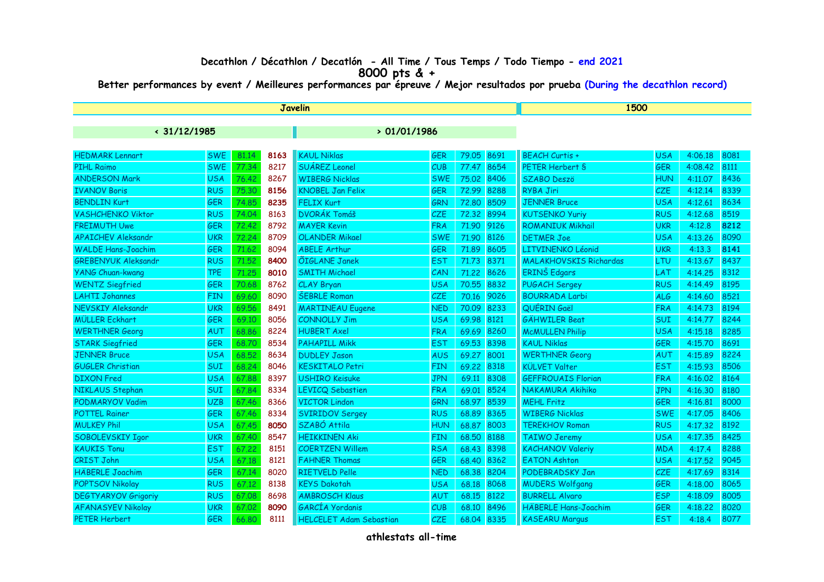## **Decathlon / Décathlon / Decatlón - All Time / Tous Temps / Todo Tiempo - end 2021**

**8000 pts & +**

**Better performances by event / Meilleures performances par épreuve / Mejor resultados por prueba (During the decathlon record)**

| Javelin                    |            |       |      |                                |            |            | 1500 |                               |            |         |      |
|----------------------------|------------|-------|------|--------------------------------|------------|------------|------|-------------------------------|------------|---------|------|
| $\cdot$ 31/12/1985         |            |       |      | >01/01/1986                    |            |            |      |                               |            |         |      |
|                            |            |       |      |                                |            |            |      |                               |            |         |      |
| <b>HEDMARK Lennart</b>     | <b>SWE</b> | 81.14 | 8163 | <b>KAUL Niklas</b>             | GER        | 79.05      | 8691 | <b>BEACH Curtis +</b>         | <b>USA</b> | 4:06.18 | 8081 |
| <b>PIHL Raimo</b>          | <b>SWE</b> | 77.34 | 8217 | <b>SUÁREZ Leonel</b>           | CUB        | 77.47      | 8654 | PETER Herbert S               | <b>GER</b> | 4:08.42 | 8111 |
| <b>ANDERSON Mark</b>       | <b>USA</b> | 76.42 | 8267 | <b>WIBERG Nicklas</b>          | <b>SWE</b> | 75.02      | 8406 | <b>SZABO Deszö</b>            | <b>HUN</b> | 4:11.07 | 8436 |
| <b>IVANOV Boris</b>        | <b>RUS</b> | 75,30 | 8156 | <b>KNOBEL Jan Felix</b>        | <b>GER</b> | 72.99      | 8288 | <b>RYBA Jiri</b>              | CZE        | 4:12.14 | 8339 |
| <b>BENDLIN Kurt</b>        | <b>GER</b> | 74.85 | 8235 | <b>FELIX Kurt</b>              | GRN        | 72,80      | 8509 | <b>JENNER Bruce</b>           | <b>USA</b> | 4:12.61 | 8634 |
| <b>VASHCHENKO Viktor</b>   | <b>RUS</b> | 74.04 | 8163 | <b>DVORÁK Tomáš</b>            | CZE        | 72.32      | 8994 | <b>KUTSENKO Yuriy</b>         | <b>RUS</b> | 4:12.68 | 8519 |
| <b>FREIMUTH Uwe</b>        | GER        | 72.42 | 8792 | <b>MAYER Kevin</b>             | <b>FRA</b> | 71.90      | 9126 | <b>ROMANIUK Mikhail</b>       | <b>UKR</b> | 4:12.8  | 8212 |
| <b>APAICHEV Aleksandr</b>  | <b>UKR</b> | 72,24 | 8709 | <b>OLANDER Mikael</b>          | <b>SWE</b> | 71.90      | 8126 | <b>DETMER Joe</b>             | <b>USA</b> | 4:13.26 | 8090 |
| <b>WALDE Hans-Joachim</b>  | GER        | 71.62 | 8094 | <b>ABELE Arthur</b>            | GER        | 71.89      | 8605 | LITVINENKO Léonid             | <b>UKR</b> | 4:13.3  | 8141 |
| <b>GREBENYUK Aleksandr</b> | <b>RUS</b> | 71.52 | 8400 | <b>ÕIGLANE Janek</b>           | <b>EST</b> | 71.73      | 8371 | <b>MALAKHOVSKIS Richardas</b> | LTU        | 4:13.67 | 8437 |
| <b>YANG Chuan-kwang</b>    | <b>TPE</b> | 71.25 | 8010 | <b>SMITH Michael</b>           | CAN        | 71.22      | 8626 | <b>ERINŠ</b> Edgars           | LAT        | 4:14.25 | 8312 |
| <b>WENTZ Siegfried</b>     | GER        | 70.68 | 8762 | CLAY Bryan                     | <b>USA</b> | 70.55      | 8832 | <b>PUGACH Sergey</b>          | <b>RUS</b> | 4:14.49 | 8195 |
| <b>LAHTI Johannes</b>      | FIN        | 69.60 | 8090 | <b>ŠEBRLE Roman</b>            | CZE        | 70.16      | 9026 | <b>BOURRADA Larbi</b>         | <b>ALG</b> | 4:14.60 | 8521 |
| <b>NEVSKIY Aleksandr</b>   | <b>UKR</b> | 69.56 | 8491 | <b>MARTINEAU Eugene</b>        | <b>NED</b> | 70.09      | 8233 | QUÉRIN Gaël                   | <b>FRA</b> | 4:14.73 | 8194 |
| <b>MÜLLER Eckhart</b>      | <b>GER</b> | 69.10 | 8056 | <b>CONNOLLY Jim</b>            | <b>USA</b> | 69.98      | 8121 | <b>GÄHWILER Beat</b>          | <b>SUI</b> | 4:14.77 | 8244 |
| <b>WERTHNER Georg</b>      | <b>AUT</b> | 68.86 | 8224 | <b>HUBERT Axel</b>             | <b>FRA</b> | 69.69      | 8260 | <b>McMULLEN Philip</b>        | <b>USA</b> | 4:15.18 | 8285 |
| <b>STARK Siegfried</b>     | <b>GER</b> | 68.70 | 8534 | <b>PAHAPILL Mikk</b>           | <b>EST</b> | 69.53      | 8398 | <b>KAUL Niklas</b>            | <b>GER</b> | 4:15.70 | 8691 |
| <b>JENNER Bruce</b>        | <b>USA</b> | 68.52 | 8634 | <b>DUDLEY Jason</b>            | <b>AUS</b> | 69.27      | 8001 | <b>WERTHNER Georg</b>         | AUT        | 4:15.89 | 8224 |
| <b>GUGLER Christian</b>    | SUI        | 68.24 | 8046 | <b>KESKITALO Petri</b>         | <b>FIN</b> | 69.22      | 8318 | <b>KÜLVET Valter</b>          | <b>EST</b> | 4:15.93 | 8506 |
| <b>DIXON</b> Fred          | <b>USA</b> | 67.88 | 8397 | <b>USHIRO Keisuke</b>          | <b>JPN</b> | 69.11      | 8308 | <b>GEFFROUAIS Florian</b>     | <b>FRA</b> | 4:16.02 | 8164 |
| NIKLAUS Stephan            | SUI        | 67.84 | 8334 | <b>LEVICQ Sebastien</b>        | <b>FRA</b> | 69.01      | 8524 | NAKAMURA Akihiko              | <b>JPN</b> | 4:16.30 | 8180 |
| <b>PODMARYOV Vadim</b>     | <b>UZB</b> | 67.46 | 8366 | <b>VICTOR Lindon</b>           | <b>GRN</b> | 68.97      | 8539 | <b>MEHL Fritz</b>             | <b>GER</b> | 4:16.81 | 8000 |
| <b>POTTEL Rainer</b>       | GER        | 67.46 | 8334 | <b>SVIRIDOV Sergey</b>         | <b>RUS</b> | 68.89      | 8365 | <b>WIBERG Nicklas</b>         | <b>SWE</b> | 4:17.05 | 8406 |
| <b>MULKEY Phil</b>         | <b>USA</b> | 67.45 | 8050 | SZABÓ Attila                   | <b>HUN</b> | 68.87      | 8003 | <b>TEREKHOV Roman</b>         | <b>RUS</b> | 4:17.32 | 8192 |
| SOBOLEVSKIY Igor           | <b>UKR</b> | 67.40 | 8547 | <b>HEIKKINEN Aki</b>           | <b>FIN</b> | 68.50      | 8188 | <b>TAIWO Jeremy</b>           | <b>USA</b> | 4:17.35 | 8425 |
| <b>KAUKIS Tonu</b>         | <b>EST</b> | 67.22 | 8151 | <b>COERTZEN Willem</b>         | <b>RSA</b> | 68.43      | 8398 | <b>KACHANOV Valeriy</b>       | <b>MDA</b> | 4:17.4  | 8288 |
| <b>CRIST John</b>          | <b>USA</b> | 67.18 | 8121 | <b>FAHNER Thomas</b>           | <b>GER</b> | 68.40      | 8362 | <b>EATON Ashton</b>           | <b>USA</b> | 4:17.52 | 9045 |
| <b>HÄBERLE Joachim</b>     | <b>GER</b> | 67.14 | 8020 | <b>RIETVELD Pelle</b>          | <b>NED</b> | 68.38      | 8204 | PODEBRADSKY Jan               | <b>CZE</b> | 4:17.69 | 8314 |
| <b>POPTSOV Nikolay</b>     | <b>RUS</b> | 67.12 | 8138 | <b>KEYS Dakotah</b>            | <b>USA</b> | 68.18      | 8068 | <b>MUDERS Wolfgang</b>        | <b>GER</b> | 4:18.00 | 8065 |
| <b>DEGTYARYOV Grigoriy</b> | <b>RUS</b> | 67.08 | 8698 | <b>AMBROSCH Klaus</b>          | <b>AUT</b> | 68,15      | 8122 | <b>BURRELL Alvaro</b>         | <b>ESP</b> | 4:18.09 | 8005 |
| <b>AFANASYEV Nikolay</b>   | <b>UKR</b> | 67.02 | 8090 | GARCÍA Yordanis                | CUB        | 68.10      | 8496 | <b>HÄBERLE Hans-Joachim</b>   | <b>GER</b> | 4:18.22 | 8020 |
| <b>PETER Herbert</b>       | GER        | 66.80 | 8111 | <b>HELCELET Adam Sebastian</b> | CZE        | 68.04 8335 |      | <b>KASEARU Margus</b>         | <b>EST</b> | 4:18.4  | 8077 |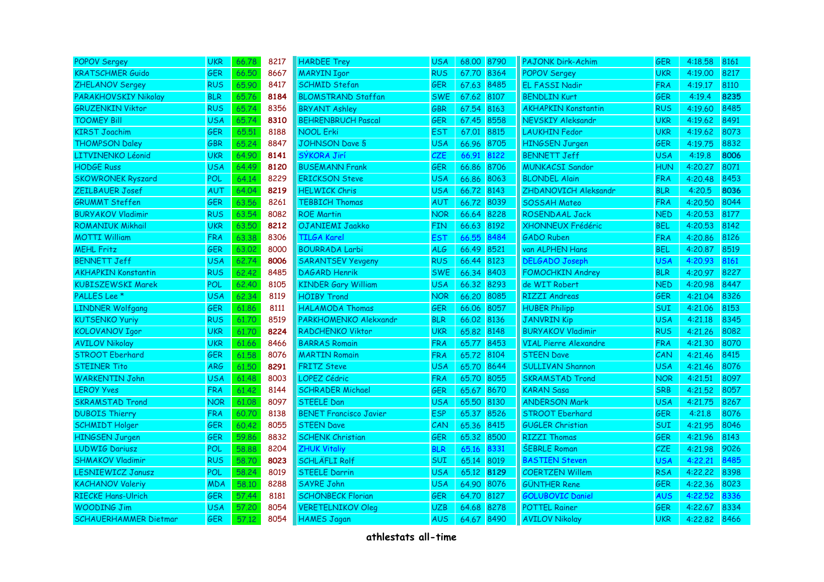| <b>POPOV Sergey</b>          | <b>UKR</b> | 66.78 | 8217 | <b>HARDEE Trey</b>            | <b>USA</b> | 68.00 8790 |      | <b>PAJONK Dirk-Achim</b>     | GER        | 4:18.58 | 8161 |
|------------------------------|------------|-------|------|-------------------------------|------------|------------|------|------------------------------|------------|---------|------|
| <b>KRATSCHMER Guido</b>      | <b>GER</b> | 66,50 | 8667 | <b>MARYIN Igor</b>            | <b>RUS</b> | 67.70      | 8364 | <b>POPOV Sergey</b>          | <b>UKR</b> | 4:19.00 | 8217 |
| <b>ZHELANOV Sergey</b>       | <b>RUS</b> | 65.90 | 8417 | <b>SCHMID Stefan</b>          | <b>GER</b> | 67.63 8485 |      | <b>EL FASSI Nadir</b>        | <b>FRA</b> | 4:19.17 | 8110 |
| PARAKHOVSKIY Nikolay         | <b>BLR</b> | 65.76 | 8184 | <b>BLOMSTRAND Staffan</b>     | <b>SWE</b> | 67.62 8107 |      | <b>BENDLIN Kurt</b>          | <b>GER</b> | 4:19.4  | 8235 |
| <b>GRUZENKIN Viktor</b>      | <b>RUS</b> | 65.74 | 8356 | <b>BRYANT Ashley</b>          | GBR        | 67.54      | 8163 | <b>AKHAPKIN Konstantin</b>   | <b>RUS</b> | 4:19.60 | 8485 |
| <b>TOOMEY Bill</b>           | USA        | 65.74 | 8310 | <b>BEHRENBRUCH Pascal</b>     | <b>GER</b> | 67.45      | 8558 | NEVSKIY Aleksandr            | UKR        | 4:19.62 | 8491 |
| <b>KIRST Joachim</b>         | <b>GER</b> | 65.51 | 8188 | <b>NOOL Erki</b>              | <b>EST</b> | 67.01      | 8815 | <b>LAUKHIN Fedor</b>         | <b>UKR</b> | 4:19.62 | 8073 |
| <b>THOMPSON Daley</b>        | <b>GBR</b> | 65.24 | 8847 | <b>JOHNSON Dave S</b>         | <b>USA</b> | 66.96      | 8705 | <b>HINGSEN Jurgen</b>        | <b>GER</b> | 4:19.75 | 8832 |
| LITVINENKO Léonid            | <b>UKR</b> | 64.90 | 8141 | SÝKORA Jirí                   | CZE        | 66.91      | 8122 | <b>BENNETT Jeff</b>          | <b>USA</b> | 4:19.8  | 8006 |
| <b>HODGE Russ</b>            | USA        | 64.49 | 8120 | <b>BUSEMANN Frank</b>         | <b>GER</b> | 66.86      | 8706 | <b>MUNKACSI Sandor</b>       | <b>HUN</b> | 4:20.27 | 8071 |
| <b>SKOWRONEK Ryszard</b>     | <b>POL</b> | 64.14 | 8229 | <b>ERICKSON Steve</b>         | <b>USA</b> | 66.86      | 8063 | <b>BLONDEL Alain</b>         | <b>FRA</b> | 4:20.48 | 8453 |
| <b>ZEILBAUER Josef</b>       | AUT        | 64.04 | 8219 | <b>HELWICK Chris</b>          | <b>USA</b> | 66.72 8143 |      | ZHDANOVICH Aleksandr         | <b>BLR</b> | 4:20.5  | 8036 |
| <b>GRUMMT Steffen</b>        | <b>GER</b> | 63.56 | 8261 | <b>TEBBICH Thomas</b>         | AUT        | 66.72      | 8039 | <b>SOSSAH Mateo</b>          | <b>FRA</b> | 4:20.50 | 8044 |
| <b>BURYAKOV Vladimir</b>     | <b>RUS</b> | 63.54 | 8082 | <b>ROE Martin</b>             | <b>NOR</b> | 66.64      | 8228 | <b>ROSENDAAL Jack</b>        | <b>NED</b> | 4:20.53 | 8177 |
| <b>ROMANIUK Mikhail</b>      | <b>UKR</b> | 63.50 | 8212 | OJANIEMI Jaakko               | FIN.       | 66.63      | 8192 | XHONNEUX Frédéric            | <b>BEL</b> | 4:20.53 | 8142 |
| <b>MOTTI William</b>         | <b>FRA</b> | 63.38 | 8306 | <b>TILGA Karel</b>            | <b>EST</b> | 66.55      | 8484 | <b>GADO Ruben</b>            | <b>FRA</b> | 4:20.86 | 8126 |
| <b>MEHL Fritz</b>            | <b>GER</b> | 63,02 | 8000 | <b>BOURRADA Larbi</b>         | <b>ALG</b> | 66.49      | 8521 | van ALPHEN Hans              | <b>BEL</b> | 4:20.87 | 8519 |
| <b>BENNETT Jeff</b>          | <b>USA</b> | 62.74 | 8006 | <b>SARANTSEV Yevgeny</b>      | <b>RUS</b> | 66.44      | 8123 | <b>DELGADO Joseph</b>        | <b>USA</b> | 4:20.93 | 8161 |
| <b>AKHAPKIN Konstantin</b>   | <b>RUS</b> | 62.42 | 8485 | <b>DAGARD Henrik</b>          | <b>SWE</b> | 66.34 8403 |      | <b>FOMOCHKIN Andrey</b>      | <b>BLR</b> | 4:20.97 | 8227 |
| <b>KUBISZEWSKI Marek</b>     | POL        | 62.40 | 8105 | <b>KINDER Gary William</b>    | <b>USA</b> | 66.32 8293 |      | de WIT Robert                | <b>NED</b> | 4:20.98 | 8447 |
| PALLES Lee <sup>*</sup>      | <b>USA</b> | 62.34 | 8119 | <b>HÖIBY Trond</b>            | <b>NOR</b> | 66.20      | 8085 | <b>RIZZI Andreas</b>         | GER        | 4:21.04 | 8326 |
| <b>LINDNER Wolfgang</b>      | GER        | 61.86 | 8111 | <b>HALAMODA Thomas</b>        | GER        | 66.06      | 8057 | <b>HUBER Philipp</b>         | SUI        | 4:21.06 | 8153 |
| <b>KUTSENKO Yuriy</b>        | <b>RUS</b> | 61.70 | 8519 | PARKHOMENKO Alekxandr         | <b>BLR</b> | 66.02      | 8136 | <b>JANVRIN Kip</b>           | <b>USA</b> | 4:21.18 | 8345 |
| KOLOVANOV Igor               | <b>UKR</b> | 61.70 | 8224 | RADCHENKO Viktor              | <b>UKR</b> | 65.82 8148 |      | <b>BURYAKOV Vladimir</b>     | <b>RUS</b> | 4:21.26 | 8082 |
| <b>AVILOV Nikolay</b>        | <b>UKR</b> | 61.66 | 8466 | <b>BARRAS Romain</b>          | <b>FRA</b> | 65.77      | 8453 | <b>VIAL Pierre Alexandre</b> | <b>FRA</b> | 4:21.30 | 8070 |
| <b>STROOT Eberhard</b>       | GER        | 61.58 | 8076 | <b>MARTIN Romain</b>          | <b>FRA</b> | 65.72 8104 |      | <b>STEEN Dave</b>            | CAN        | 4:21.46 | 8415 |
| <b>STEINER Tito</b>          | <b>ARG</b> | 61,50 | 8291 | <b>FRITZ Steve</b>            | <b>USA</b> | 65.70 8644 |      | <b>SULLIVAN Shannon</b>      | <b>USA</b> | 4:21.46 | 8076 |
| <b>WARKENTIN John</b>        | <b>USA</b> | 61.48 | 8003 | <b>LOPEZ Cédric</b>           | <b>FRA</b> | 65.70 8055 |      | <b>SKRAMSTAD Trond</b>       | <b>NOR</b> | 4:21.51 | 8097 |
| <b>LEROY Yves</b>            | <b>FRA</b> | 61.42 | 8144 | <b>SCHRADER Michael</b>       | <b>GER</b> | 65.67 8670 |      | <b>KARAN Sasa</b>            | <b>SRB</b> | 4:21.52 | 8057 |
| <b>SKRAMSTAD Trond</b>       | <b>NOR</b> | 61.08 | 8097 | <b>STEELE Dan</b>             | <b>USA</b> | 65.50      | 8130 | <b>ANDERSON Mark</b>         | <b>USA</b> | 4:21.75 | 8267 |
| <b>DUBOIS Thierry</b>        | <b>FRA</b> | 60.70 | 8138 | <b>BENET Francisco Javier</b> | <b>ESP</b> | 65.37      | 8526 | <b>STROOT Eberhard</b>       | <b>GER</b> | 4:21.8  | 8076 |
| <b>SCHMIDT Holger</b>        | <b>GER</b> | 60.42 | 8055 | <b>STEEN Dave</b>             | CAN        | 65.36      | 8415 | <b>GUGLER Christian</b>      | <b>SUI</b> | 4:21.95 | 8046 |
| <b>HINGSEN Jurgen</b>        | <b>GER</b> | 59.86 | 8832 | <b>SCHENK Christian</b>       | <b>GER</b> | 65.32 8500 |      | <b>RIZZI Thomas</b>          | <b>GER</b> | 4:21.96 | 8143 |
| <b>LUDWIG Dariusz</b>        | POL        | 58.88 | 8204 | <b>ZHUK Vitaliy</b>           | <b>BLR</b> | 65.16      | 8331 | <b>ŠEBRLE Roman</b>          | <b>CZE</b> | 4:21.98 | 9026 |
| <b>SHMAKOV Vladimir</b>      | <b>RUS</b> | 58.70 | 8023 | <b>SCHLÄFLI Rolf</b>          | <b>SUI</b> | 65.14      | 8019 | <b>BASTIEN Steven</b>        | USA        | 4:22.21 | 8485 |
| <b>LESNIEWICZ Janusz</b>     | <b>POL</b> | 58.24 | 8019 | <b>STEELE Darrin</b>          | <b>USA</b> | 65.12 8129 |      | <b>COERTZEN Willem</b>       | <b>RSA</b> | 4:22.22 | 8398 |
| <b>KACHANOV Valeriy</b>      | <b>MDA</b> | 58.10 | 8288 | <b>SAYRE John</b>             | <b>USA</b> | 64.90 8076 |      | <b>GÜNTHER Rene</b>          | <b>GER</b> | 4:22.36 | 8023 |
| <b>RIECKE Hans-Ulrich</b>    | <b>GER</b> | 57.44 | 8181 | <b>SCHÖNBECK Florian</b>      | <b>GER</b> | 64.70      | 8127 | <b>GOLUBOVIC Daniel</b>      | AUS        | 4:22.52 | 8336 |
| <b>WOODING Jim</b>           | <b>USA</b> | 57,20 | 8054 | <b>VERETELNIKOV Oleg</b>      | <b>UZB</b> | 64.68      | 8278 | <b>POTTEL Rainer</b>         | <b>GER</b> | 4:22.67 | 8334 |
| <b>SCHAUERHAMMER Dietmar</b> | <b>GER</b> | 57.12 | 8054 | <b>HAMES Jagan</b>            | <b>AUS</b> | 64.67 8490 |      | <b>AVILOV Nikolay</b>        | <b>UKR</b> | 4:22.82 | 8466 |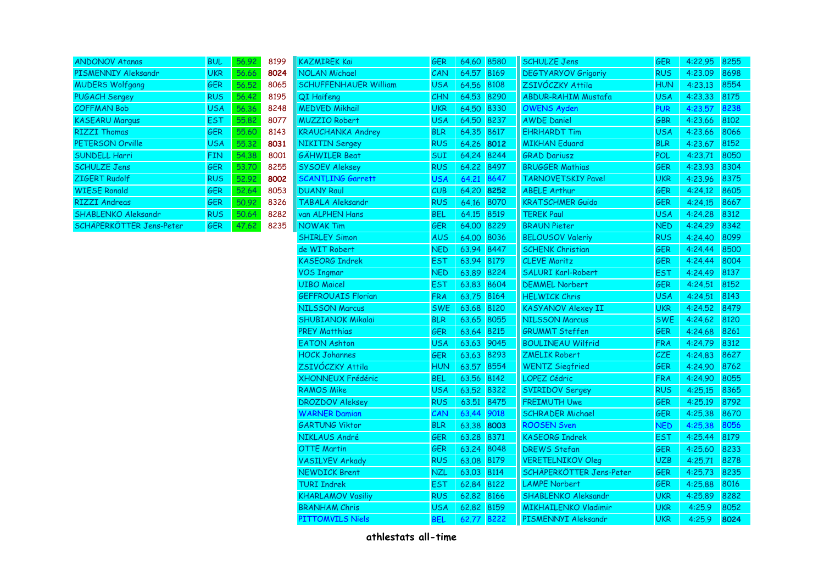| <b>ANDONOV Atanas</b>      | <b>BUL</b> | 56.92 | 8199 |
|----------------------------|------------|-------|------|
| PISMENNIY Aleksandr        | <b>UKR</b> | 56.66 | 8024 |
| <b>MUDERS Wolfgang</b>     | <b>GER</b> | 56.52 | 8065 |
| <b>PUGACH Sergey</b>       | <b>RUS</b> | 56,42 | 8195 |
| <b>COFFMAN Bob</b>         | <b>USA</b> | 56.36 | 8248 |
| <b>KASEARU Marqus</b>      | <b>EST</b> | 55.82 | 8077 |
| <b>RIZZI Thomas</b>        | <b>GER</b> | 55,60 | 8143 |
| <b>PETERSON Orville</b>    | <b>USA</b> | 55.32 | 8031 |
| <b>SUNDELL Harri</b>       | <b>FIN</b> | 54.38 | 8001 |
| <b>SCHULZE Jens</b>        | <b>GER</b> | 53.70 | 8255 |
| <b>ZIGERT Rudolf</b>       | <b>RUS</b> | 52.92 | 8002 |
| <b>WIESE Ronald</b>        | <b>GER</b> | 52.64 | 8053 |
| <b>RIZZI Andreas</b>       | <b>GER</b> | 50.92 | 8326 |
| <b>SHABLENKO Aleksandr</b> | <b>RUS</b> | 50.64 | 8282 |
| SCHÄPERKÖTTER Jens-Peter   | <b>GER</b> | 47.62 | 8235 |

| <b>ANDONOV Atanas</b>      | <b>BUL</b> | 56.92 | 8199 | <b>KAZMIREK Kai</b>          | GER        | 64.60 8580 |            | <b>SCHULZE Jens</b>         | GER        | 4:22.95 8255 |      |
|----------------------------|------------|-------|------|------------------------------|------------|------------|------------|-----------------------------|------------|--------------|------|
| PISMENNIY Aleksandr        | <b>UKR</b> | 56.66 | 8024 | <b>NOLAN Michael</b>         | CAN        | 64.57 8169 |            | <b>DEGTYARYOV Grigoriy</b>  | <b>RUS</b> | 4:23.09 8698 |      |
| <b>MUDERS Wolfgang</b>     | <b>GER</b> | 56.52 | 8065 | <b>SCHUFFENHAUER William</b> | <b>USA</b> | 64.56 8108 |            | ZSIVÓCZKY Attila            | <b>HUN</b> | 4:23.13 8554 |      |
| <b>PUGACH Sergey</b>       | <b>RUS</b> | 56.42 | 8195 | QI Haifeng                   | CHN.       | 64.53 8290 |            | <b>ABDUR-RAHIM Mustafa</b>  | <b>USA</b> | 4:23.33 8175 |      |
| <b>COFFMAN Bob</b>         | <b>USA</b> | 56.36 | 8248 | <b>MEDVED Mikhail</b>        | <b>UKR</b> | 64.50 8330 |            | <b>OWENS Ayden</b>          | <b>PUR</b> | 4:23.57 8238 |      |
| <b>KASEARU Margus</b>      | <b>EST</b> | 55,82 | 8077 | <b>MUZZIO Robert</b>         | <b>USA</b> | 64.50 8237 |            | <b>AWDE Daniel</b>          | GBR        | 4:23.66 8102 |      |
| <b>RIZZI Thomas</b>        | <b>GER</b> | 55.60 | 8143 | <b>KRAUCHANKA Andrey</b>     | <b>BLR</b> | 64.35 8617 |            | <b>EHRHARDT Tim</b>         | <b>USA</b> | 4:23.66 8066 |      |
| PETERSON Orville           | <b>USA</b> | 55,32 | 8031 | NIKITIN Sergey               | <b>RUS</b> | 64.26 8012 |            | <b>MIKHAN Eduard</b>        | <b>BLR</b> | 4:23.67 8152 |      |
| <b>SUNDELL Harri</b>       | <b>FIN</b> | 54.38 | 8001 | <b>GÄHWILER Beat</b>         | <b>SUI</b> | 64.24 8244 |            | <b>GRAD Dariusz</b>         | POL        | 4:23.71 8050 |      |
| <b>SCHULZE Jens</b>        | <b>GER</b> | 53,70 | 8255 | <b>SYSOEV Aleksey</b>        | <b>RUS</b> | 64.22 8497 |            | <b>BRUGGER Mathias</b>      | <b>GER</b> | 4:23.93 8304 |      |
| ZIGERT Rudolf              | <b>RUS</b> | 52.92 | 8002 | <b>SCANTLING Garrett</b>     | <b>USA</b> | 64.21      | 8647       | <b>TARNOVETSKIY Pavel</b>   | <b>UKR</b> | 4:23.96 8375 |      |
| <b>WIESE Ronald</b>        | <b>GER</b> | 52.64 | 8053 | <b>DUANY Raul</b>            | CUB        | 64.20 8252 |            | <b>ABELE Arthur</b>         | <b>GER</b> | 4:24.12 8605 |      |
| <b>RIZZI Andreas</b>       | <b>GER</b> | 50.92 | 8326 | <b>TABALA Aleksandr</b>      | <b>RUS</b> |            | 64.16 8070 | <b>KRATSCHMER Guido</b>     | <b>GER</b> | 4:24.15 8667 |      |
| <b>SHABLENKO Aleksandr</b> | <b>RUS</b> | 50.64 | 8282 | van ALPHEN Hans              | <b>BEL</b> | 64.15 8519 |            | <b>TEREK Paul</b>           | <b>USA</b> | 4:24.28 8312 |      |
| SCHÄPERKÖTTER Jens-Peter   | GER        | 47.62 | 8235 | NOWAK Tim                    | <b>GER</b> | 64.00 8229 |            | <b>BRAUN Pieter</b>         | <b>NED</b> | 4:24.29 8342 |      |
|                            |            |       |      | <b>SHIRLEY Simon</b>         | <b>AUS</b> | 64.00 8036 |            | <b>BELOUSOV Valeriy</b>     | <b>RUS</b> | 4:24.40 8099 |      |
|                            |            |       |      | de WIT Robert                | <b>NED</b> | 63.94 8447 |            | <b>SCHENK Christian</b>     | <b>GER</b> | 4:24.44 8500 |      |
|                            |            |       |      | <b>KASEORG Indrek</b>        | <b>EST</b> | 63.94 8179 |            | <b>CLEVE Moritz</b>         | <b>GER</b> | 4:24.44 8004 |      |
|                            |            |       |      | <b>VOS Ingmar</b>            | <b>NED</b> | 63.89 8224 |            | <b>SALURI Karl-Robert</b>   | <b>EST</b> | 4:24.49 8137 |      |
|                            |            |       |      | <b>UIBO Maicel</b>           | <b>EST</b> | 63.83 8604 |            | <b>DEMMEL Norbert</b>       | <b>GER</b> | 4:24.51 8152 |      |
|                            |            |       |      | <b>GEFFROUAIS Florian</b>    | <b>FRA</b> | 63.75 8164 |            | <b>HELWICK Chris</b>        | <b>USA</b> | 4:24.51 8143 |      |
|                            |            |       |      | <b>NILSSON Marcus</b>        | <b>SWE</b> | 63.68 8120 |            | <b>KASYANOV Alexey II</b>   | <b>UKR</b> | 4:24.52 8479 |      |
|                            |            |       |      | <b>SHUBIANOK Mikalai</b>     | <b>BLR</b> | 63.65 8055 |            | <b>NILSSON Marcus</b>       | <b>SWE</b> | 4:24.62 8120 |      |
|                            |            |       |      | <b>PREY Matthias</b>         | <b>GER</b> | 63.64 8215 |            | <b>GRUMMT Steffen</b>       | <b>GER</b> | 4:24.68 8261 |      |
|                            |            |       |      | <b>EATON Ashton</b>          | <b>USA</b> | 63.63 9045 |            | <b>BOULINEAU Wilfrid</b>    | <b>FRA</b> | 4:24.79 8312 |      |
|                            |            |       |      | <b>HOCK Johannes</b>         | <b>GER</b> | 63.63 8293 |            | <b>ZMELIK Robert</b>        | CZE        | 4:24.83 8627 |      |
|                            |            |       |      | ZSIVÓCZKY Attila             | <b>HUN</b> | 63.57 8554 |            | <b>WENTZ Siegfried</b>      | <b>GER</b> | 4:24.90 8762 |      |
|                            |            |       |      | XHONNEUX Frédéric            | <b>BEL</b> | 63.56 8142 |            | LOPEZ Cédric                | <b>FRA</b> | 4:24.90 8055 |      |
|                            |            |       |      | <b>RAMOS Mike</b>            | <b>USA</b> | 63.52 8322 |            | <b>SVIRIDOV Sergey</b>      | <b>RUS</b> | 4:25.15 8365 |      |
|                            |            |       |      | <b>DROZDOV Aleksey</b>       | <b>RUS</b> | 63.51 8475 |            | <b>FREIMUTH Uwe</b>         | <b>GER</b> | 4:25.19 8792 |      |
|                            |            |       |      | <b>WARNER Damian</b>         | CAN        | 63.44 9018 |            | <b>SCHRADER Michael</b>     | <b>GER</b> | 4:25.38 8670 |      |
|                            |            |       |      | <b>GARTUNG Viktor</b>        | <b>BLR</b> | 63.38 8003 |            | <b>ROOSEN Sven</b>          | <b>NED</b> | 4:25.38      | 8056 |
|                            |            |       |      | NIKLAUS André                | <b>GER</b> | 63.28 8371 |            | <b>KASEORG Indrek</b>       | <b>EST</b> | 4:25.44 8179 |      |
|                            |            |       |      | <b>OTTE Martin</b>           | <b>GER</b> | 63.24 8048 |            | <b>DREWS Stefan</b>         | <b>GER</b> | 4:25.60 8233 |      |
|                            |            |       |      | <b>VASILYEV Arkady</b>       | <b>RUS</b> | 63.08 8179 |            | <b>VERETELNIKOV Oleg</b>    | <b>UZB</b> | 4:25.71      | 8278 |
|                            |            |       |      | <b>NEWDICK Brent</b>         | <b>NZL</b> | 63.03 8114 |            | SCHÄPERKÖTTER Jens-Peter    | <b>GER</b> | 4:25.73 8235 |      |
|                            |            |       |      | <b>TURI Indrek</b>           | <b>EST</b> | 62.84 8122 |            | <b>LAMPE Norbert</b>        | <b>GER</b> | 4:25.88 8016 |      |
|                            |            |       |      | <b>KHARLAMOV Vasiliy</b>     | <b>RUS</b> | 62.82 8166 |            | <b>SHABLENKO Aleksandr</b>  | <b>UKR</b> | 4:25.89 8282 |      |
|                            |            |       |      | <b>BRANHAM Chris</b>         | <b>USA</b> | 62.82 8159 |            | <b>MIKHAILENKO Vladimir</b> | <b>UKR</b> | 4:25.9       | 8052 |
|                            |            |       |      | PITTOMVILS Niels             | <b>BEL</b> | 62.77 8222 |            | PISMENNYI Aleksandr         | <b>UKR</b> | 4:25.9 8024  |      |
|                            |            |       |      |                              |            |            |            |                             |            |              |      |

| 0              | <b>SCHULZE Jens</b>         | <b>GER</b> | 4:22.95 | 8255 |
|----------------|-----------------------------|------------|---------|------|
| P,             | <b>DEGTYARYOV Grigoriy</b>  | <b>RUS</b> | 4:23.09 | 8698 |
| 3              | ZSIVÓCZKY Attila            | <b>HUN</b> | 4:23.13 | 8554 |
| $\overline{0}$ | <b>ABDUR-RAHIM Mustafa</b>  | <b>USA</b> | 4:23.33 | 8175 |
| O              | <b>OWENS Ayden</b>          | <b>PUR</b> | 4:23.57 | 8238 |
| 7              | <b>AWDE Daniel</b>          | <b>GBR</b> | 4:23.66 | 8102 |
| 7              | <b>EHRHARDT Tim</b>         | <b>USA</b> | 4:23.66 | 8066 |
| 2              | <b>MIKHAN Eduard</b>        | <b>BLR</b> | 4:23.67 | 8152 |
| 4              | <b>GRAD Dariusz</b>         | POL        | 4:23.71 | 8050 |
| 7              | <b>BRUGGER Mathias</b>      | <b>GER</b> | 4:23.93 | 8304 |
| 7              | <b>TARNOVETSKIY Pavel</b>   | <b>UKR</b> | 4:23.96 | 8375 |
| 2              | <b>ABELE Arthur</b>         | <b>GER</b> | 4:24.12 | 8605 |
| O              | <b>KRATSCHMER Guido</b>     | <b>GER</b> | 4:24.15 | 8667 |
| ∍              | <b>TEREK Paul</b>           | <b>USA</b> | 4:24.28 | 8312 |
| 9              | <b>BRAUN Pieter</b>         | <b>NED</b> | 4:24.29 | 8342 |
| 6              | <b>BELOUSOV Valeriy</b>     | <b>RUS</b> | 4:24.40 | 8099 |
| 7              | <b>SCHENK Christian</b>     | <b>GER</b> | 4:24.44 | 8500 |
| J              | <b>CLEVE Moritz</b>         | <b>GER</b> | 4:24.44 | 8004 |
| 4              | SALURI Karl-Robert          | <b>EST</b> | 4:24.49 | 8137 |
| 4              | <b>DEMMEL Norbert</b>       | GER        | 4:24.51 | 8152 |
| 4              | <b>HELWICK Chris</b>        | <b>USA</b> | 4:24.51 | 8143 |
| $\mathfrak{z}$ | <b>KASYANOV Alexey II</b>   | <b>UKR</b> | 4:24.52 | 8479 |
| 5              | <b>NILSSON Marcus</b>       | <b>SWE</b> | 4:24.62 | 8120 |
| 5              | <b>GRUMMT Steffen</b>       | <b>GER</b> | 4:24.68 | 8261 |
| 5              | <b>BOULINEAU Wilfrid</b>    | <b>FRA</b> | 4:24.79 | 8312 |
| 3              | <b>ZMELIK Robert</b>        | CZE        | 4:24.83 | 8627 |
| 4              | <b>WENTZ Siegfried</b>      | <b>GER</b> | 4:24.90 | 8762 |
| $\overline{2}$ | LOPEZ Cédric                | <b>FRA</b> | 4:24.90 | 8055 |
| $\overline{c}$ | <b>SVIRIDOV Sergey</b>      | <b>RUS</b> | 4:25.15 | 8365 |
| 5              | <b>FREIMUTH Uwe</b>         | <b>GER</b> | 4:25.19 | 8792 |
|                | <b>SCHRADER Michael</b>     | GER        | 4:25.38 | 8670 |
| 3              | <b>ROOSEN Sven</b>          | <b>NED</b> | 4:25.38 | 8056 |
| 1              | <b>KASEORG Indrek</b>       | <b>EST</b> | 4:25.44 | 8179 |
| 8              | <b>DREWS Stefan</b>         | GER        | 4:25.60 | 8233 |
| ∍              | <b>VERETELNIKOV Oleg</b>    | <b>UZB</b> | 4:25.71 | 8278 |
|                | SCHÄPERKÖTTER Jens-Peter    | <b>GER</b> | 4:25.73 | 8235 |
|                | <b>LAMPE Norbert</b>        | <b>GER</b> | 4:25.88 | 8016 |
| 5              | SHABLENKO Aleksandr         | <b>UKR</b> | 4:25.89 | 8282 |
| ₹              | <b>MIKHAILENKO Vladimir</b> | <b>UKR</b> | 4:25.9  | 8052 |
|                | PISMENNYI Aleksandr         | <b>UKR</b> | 4:25.9  | 8024 |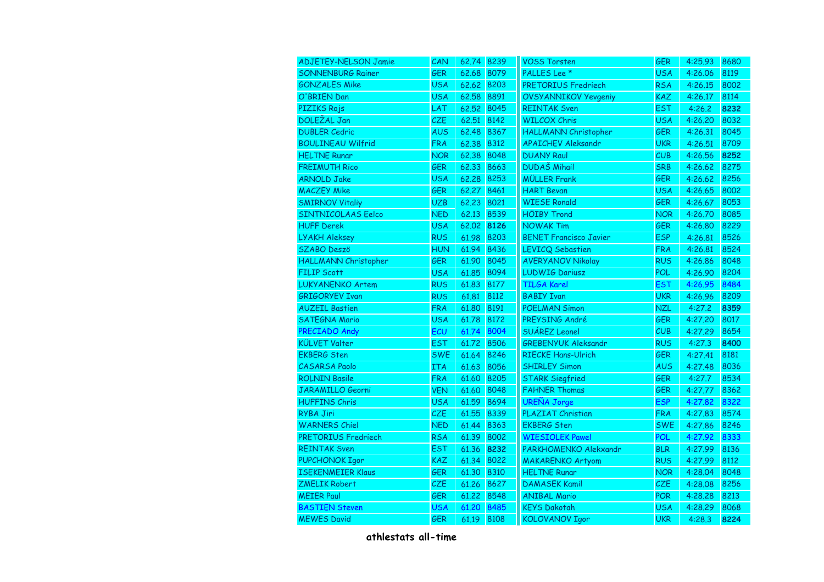| <b>ADJETEY-NELSON Jamie</b> | CAN        | 62.74 8239 |      | <b>VOSS Torsten</b>           | <b>GER</b> | 4:25.93 | 8680 |
|-----------------------------|------------|------------|------|-------------------------------|------------|---------|------|
| <b>SONNENBURG Rainer</b>    | <b>GER</b> | 62.68      | 8079 | PALLES Lee <sup>*</sup>       | <b>USA</b> | 4:26.06 | 8119 |
| <b>GONZALES Mike</b>        | <b>USA</b> | 62.62      | 8203 | PRETORIUS Fredriech           | <b>RSA</b> | 4:26.15 | 8002 |
| O'BRIEN Dan                 | <b>USA</b> | 62.58      | 8891 | <b>OVSYANNIKOV Yevgeniy</b>   | <b>KAZ</b> | 4:26.17 | 8114 |
| PIZIKS Rojs                 | LAT        | 62.52      | 8045 | <b>REINTAK Sven</b>           | <b>EST</b> | 4:26.2  | 8232 |
| <b>DOLEŽAL Jan</b>          | CZE        | 62.51      | 8142 | <b>WILCOX Chris</b>           | <b>USA</b> | 4:26.20 | 8032 |
| <b>DUBLER Cedric</b>        | <b>AUS</b> | 62.48      | 8367 | HALLMANN Christopher          | <b>GER</b> | 4:26.31 | 8045 |
| <b>BOULINEAU Wilfrid</b>    | <b>FRA</b> | 62.38      | 8312 | <b>APAICHEV Aleksandr</b>     | <b>UKR</b> | 4:26.51 | 8709 |
| <b>HELTNE Runar</b>         | <b>NOR</b> | 62.38      | 8048 | <b>DUANY Raul</b>             | CUB        | 4:26.56 | 8252 |
| <b>FREIMUTH Rico</b>        | <b>GER</b> | 62.33      | 8663 | <b>DUDAŠ Mihail</b>           | <b>SRB</b> | 4:26.62 | 8275 |
| <b>ARNOLD Jake</b>          | <b>USA</b> | 62.28      | 8253 | <b>MÜLLER Frank</b>           | <b>GER</b> | 4:26.62 | 8256 |
| <b>MACZEY Mike</b>          | <b>GER</b> | 62.27      | 8461 | <b>HART Bevan</b>             | <b>USA</b> | 4:26.65 | 8002 |
| <b>SMIRNOV Vitaliy</b>      | <b>UZB</b> | 62.23      | 8021 | <b>WIESE Ronald</b>           | <b>GER</b> | 4:26.67 | 8053 |
| <b>SINTNICOLAAS Eelco</b>   | <b>NED</b> | 62.13      | 8539 | <b>HÖIBY Trond</b>            | <b>NOR</b> | 4:26.70 | 8085 |
| <b>HUFF Derek</b>           | <b>USA</b> | 62.02      | 8126 | <b>NOWAK Tim</b>              | <b>GER</b> | 4:26.80 | 8229 |
| <b>LYAKH Aleksey</b>        | <b>RUS</b> | 61.98      | 8203 | <b>BENET Francisco Javier</b> | <b>ESP</b> | 4:26.81 | 8526 |
| <b>SZABO Deszö</b>          | <b>HUN</b> | 61.94      | 8436 | <b>LEVICQ Sebastien</b>       | <b>FRA</b> | 4:26.81 | 8524 |
| HALLMANN Christopher        | <b>GER</b> | 61.90      | 8045 | <b>AVERYANOV Nikolay</b>      | <b>RUS</b> | 4:26.86 | 8048 |
| <b>FILIP Scott</b>          | <b>USA</b> | 61.85      | 8094 | <b>LUDWIG Dariusz</b>         | <b>POL</b> | 4:26.90 | 8204 |
| <b>LUKYANENKO Artem</b>     | <b>RUS</b> | 61.83      | 8177 | <b>TILGA Karel</b>            | <b>EST</b> | 4:26.95 | 8484 |
| <b>GRIGORYEV Ivan</b>       | <b>RUS</b> | 61.81      | 8112 | <b>BABIY Ivan</b>             | <b>UKR</b> | 4:26.96 | 8209 |
| <b>AUZEIL Bastien</b>       | <b>FRA</b> | 61.80      | 8191 | <b>POELMAN Simon</b>          | <b>NZL</b> | 4:27.2  | 8359 |
| <b>SATEGNA Mario</b>        | <b>USA</b> | 61.78      | 8172 | PREYSING André                | <b>GER</b> | 4:27.20 | 8017 |
| PRECIADO Andy               | ECU        | 61.74      | 8004 | SUÁREZ Leonel                 | CUB        | 4:27.29 | 8654 |
| <b>KÜLVET Valter</b>        | <b>EST</b> | 61.72      | 8506 | <b>GREBENYUK Aleksandr</b>    | <b>RUS</b> | 4:27.3  | 8400 |
| <b>EKBERG Sten</b>          | <b>SWE</b> | 61.64      | 8246 | <b>RIECKE Hans-Ulrich</b>     | <b>GER</b> | 4:27.41 | 8181 |
| <b>CASARSA Paolo</b>        | ITA        | 61.63      | 8056 | <b>SHIRLEY Simon</b>          | <b>AUS</b> | 4:27.48 | 8036 |
| <b>ROLNIN Basile</b>        | <b>FRA</b> | 61.60      | 8205 | <b>STARK Siegfried</b>        | <b>GER</b> | 4:27.7  | 8534 |
| <b>JARAMILLO Georni</b>     | <b>VEN</b> | 61.60      | 8048 | <b>FAHNER Thomas</b>          | <b>GER</b> | 4:27.77 | 8362 |
| <b>HUFFINS Chris</b>        | <b>USA</b> | 61.59      | 8694 | <b>UREÑA Jorge</b>            | <b>ESP</b> | 4:27.82 | 8322 |
| <b>RYBA Jiri</b>            | CZE        | 61,55      | 8339 | PLAZIAT Christian             | <b>FRA</b> | 4:27.83 | 8574 |
| <b>WARNERS Chiel</b>        | <b>NED</b> | 61.44      | 8363 | <b>EKBERG</b> Sten            | <b>SWE</b> | 4:27.86 | 8246 |
| <b>PRETORIUS Fredriech</b>  | <b>RSA</b> | 61.39      | 8002 | <b>WIESIOLEK Pawel</b>        | POL        | 4:27.92 | 8333 |
| <b>REINTAK Sven</b>         | <b>EST</b> | 61.36      | 8232 | PARKHOMENKO Alekxandr         | <b>BLR</b> | 4:27.99 | 8136 |
| <b>PUPCHONOK Igor</b>       | KAZ        | 61.34      | 8022 | <b>MAKARENKO Artyom</b>       | <b>RUS</b> | 4:27.99 | 8112 |
| <b>ISEKENMEIER Klaus</b>    | <b>GER</b> | 61,30      | 8310 | <b>HELTNE Runar</b>           | <b>NOR</b> | 4:28.04 | 8048 |
| <b>ZMELIK Robert</b>        | CZE        | 61.26      | 8627 | <b>DAMASEK Kamil</b>          | <b>CZE</b> | 4:28.08 | 8256 |
| <b>MEIER Paul</b>           | GER        | 61.22      | 8548 | <b>ANIBAL Mario</b>           | <b>POR</b> | 4:28.28 | 8213 |
| <b>BASTIEN Steven</b>       | <b>USA</b> | 61,20      | 8485 | <b>KEYS Dakotah</b>           | <b>USA</b> | 4:28.29 | 8068 |
| <b>MEWES David</b>          | <b>GER</b> | 61.19      | 8108 | <b>KOLOVANOV Igor</b>         | <b>UKR</b> | 4:28.3  | 8224 |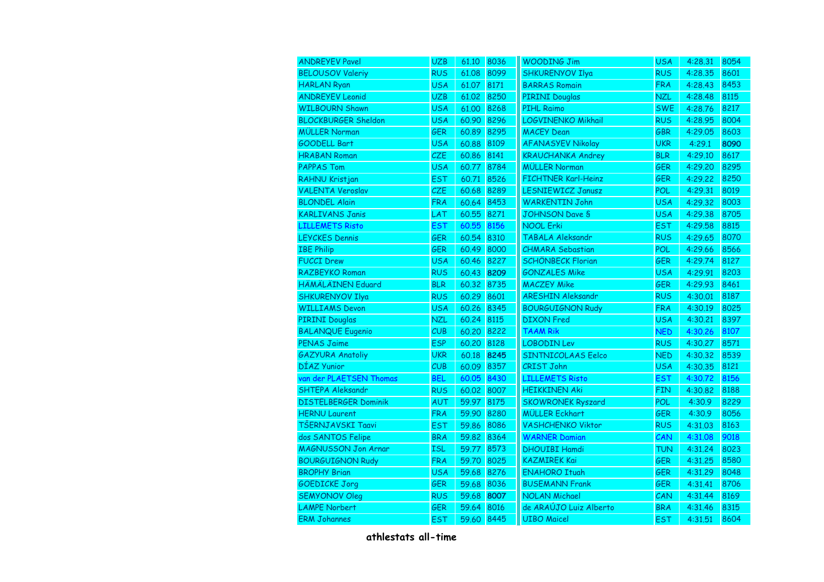| <b>ANDREYEV Pavel</b>       | <b>UZB</b> | 61.10 | 8036 | <b>WOODING Jim</b>         | <b>USA</b> | 4:28.31 | 8054 |
|-----------------------------|------------|-------|------|----------------------------|------------|---------|------|
| <b>BELOUSOV Valeriy</b>     | <b>RUS</b> | 61.08 | 8099 | SHKURENYOV Ilya            | <b>RUS</b> | 4:28.35 | 8601 |
| <b>HARLAN Ryan</b>          | <b>USA</b> | 61.07 | 8171 | <b>BARRAS Romain</b>       | <b>FRA</b> | 4:28.43 | 8453 |
| <b>ANDREYEV Leonid</b>      | <b>UZB</b> | 61.02 | 8250 | <b>PIRINI Douglas</b>      | <b>NZL</b> | 4:28.48 | 8115 |
| <b>WILBOURN Shawn</b>       | <b>USA</b> | 61.00 | 8268 | <b>PIHL Raimo</b>          | <b>SWE</b> | 4:28.76 | 8217 |
| <b>BLOCKBURGER Sheldon</b>  | <b>USA</b> | 60.90 | 8296 | LOGVINENKO Mikhail         | <b>RUS</b> | 4:28.95 | 8004 |
| <b>MÜLLER Norman</b>        | GER        | 60.89 | 8295 | <b>MACEY Dean</b>          | <b>GBR</b> | 4:29.05 | 8603 |
| <b>GOODELL Bart</b>         | <b>USA</b> | 60.88 | 8109 | <b>AFANASYEV Nikolay</b>   | <b>UKR</b> | 4:29.1  | 8090 |
| <b>HRABAN Roman</b>         | CZE        | 60.86 | 8141 | <b>KRAUCHANKA Andrey</b>   | <b>BLR</b> | 4:29.10 | 8617 |
| <b>PAPPAS Tom</b>           | <b>USA</b> | 60.77 | 8784 | <b>MÜLLER Norman</b>       | <b>GER</b> | 4:29.20 | 8295 |
| RAHNU Kristjan              | <b>EST</b> | 60.71 | 8526 | <b>FICHTNER Karl-Heinz</b> | <b>GER</b> | 4:29.22 | 8250 |
| <b>VALENTA Veroslav</b>     | CZE        | 60.68 | 8289 | <b>LESNIEWICZ Janusz</b>   | POL        | 4:29.31 | 8019 |
| <b>BLONDEL Alain</b>        | <b>FRA</b> | 60.64 | 8453 | <b>WARKENTIN John</b>      | <b>USA</b> | 4:29.32 | 8003 |
| <b>KARLIVANS Janis</b>      | LAT        | 60.55 | 8271 | <b>JOHNSON Dave S</b>      | <b>USA</b> | 4:29.38 | 8705 |
| <b>LILLEMETS Risto</b>      | <b>EST</b> | 60.55 | 8156 | <b>NOOL Erki</b>           | <b>EST</b> | 4:29.58 | 8815 |
| <b>LEYCKES Dennis</b>       | GER        | 60.54 | 8310 | <b>TABALA Aleksandr</b>    | <b>RUS</b> | 4:29.65 | 8070 |
| <b>IBE Philip</b>           | GER        | 60.49 | 8000 | <b>CHMARA Sebastian</b>    | <b>POL</b> | 4:29.66 | 8566 |
| <b>FUCCI Drew</b>           | <b>USA</b> | 60.46 | 8227 | <b>SCHÖNBECK Florian</b>   | <b>GER</b> | 4:29.74 | 8127 |
| RAZBEYKO Roman              | <b>RUS</b> | 60.43 | 8209 | <b>GONZALES Mike</b>       | <b>USA</b> | 4:29.91 | 8203 |
| HÄMÄLÄINEN Eduard           | <b>BLR</b> | 60.32 | 8735 | <b>MACZEY Mike</b>         | <b>GER</b> | 4:29.93 | 8461 |
| <b>SHKURENYOV Ilya</b>      | <b>RUS</b> | 60.29 | 8601 | <b>ARESHIN Aleksandr</b>   | <b>RUS</b> | 4:30.01 | 8187 |
| <b>WILLIAMS Devon</b>       | <b>USA</b> | 60.26 | 8345 | <b>BOURGUIGNON Rudy</b>    | <b>FRA</b> | 4:30.19 | 8025 |
| <b>PIRINI Douglas</b>       | <b>NZL</b> | 60.24 | 8115 | <b>DIXON</b> Fred          | <b>USA</b> | 4:30.21 | 8397 |
| <b>BALANQUE Eugenio</b>     | CUB        | 60,20 | 8222 | <b>TAAM Rik</b>            | <b>NED</b> | 4:30.26 | 8107 |
| <b>PENAS Jaime</b>          | <b>ESP</b> | 60.20 | 8128 | <b>LOBODIN Lev</b>         | <b>RUS</b> | 4:30.27 | 8571 |
| <b>GAZYURA Anatoliy</b>     | <b>UKR</b> | 60.18 | 8245 | <b>SINTNICOLAAS Eelco</b>  | <b>NED</b> | 4:30.32 | 8539 |
| DÍAZ Yunior                 | CUB        | 60.09 | 8357 | <b>CRIST John</b>          | <b>USA</b> | 4:30.35 | 8121 |
| van der PLAETSEN Thomas     | <b>BEL</b> | 60.05 | 8430 | <b>LILLEMETS Risto</b>     | <b>EST</b> | 4:30.72 | 8156 |
| <b>SHTEPA Aleksandr</b>     | <b>RUS</b> | 60.02 | 8007 | <b>HEIKKINEN Aki</b>       | <b>FIN</b> | 4:30.82 | 8188 |
| <b>DISTELBERGER Dominik</b> | AUT        | 59.97 | 8175 | <b>SKOWRONEK Ryszard</b>   | POL        | 4:30.9  | 8229 |
| <b>HERNU Laurent</b>        | <b>FRA</b> | 59.90 | 8280 | <b>MÜLLER Eckhart</b>      | <b>GER</b> | 4:30.9  | 8056 |
| TŠERNJAVSKI Taavi           | <b>EST</b> | 59.86 | 8086 | <b>VASHCHENKO Viktor</b>   | <b>RUS</b> | 4:31.03 | 8163 |
| dos SANTOS Felipe           | <b>BRA</b> | 59.82 | 8364 | <b>WARNER Damian</b>       | CAN        | 4:31.08 | 9018 |
| <b>MAGNUSSON Jon Arnar</b>  | <b>ISL</b> | 59.77 | 8573 | <b>DHOUIBI Hamdi</b>       | <b>TUN</b> | 4:31.24 | 8023 |
| <b>BOURGUIGNON Rudy</b>     | <b>FRA</b> | 59.70 | 8025 | <b>KAZMIREK Kai</b>        | <b>GER</b> | 4:31.25 | 8580 |
| <b>BROPHY Brian</b>         | <b>USA</b> | 59.68 | 8276 | <b>ENAHORO Ituah</b>       | <b>GER</b> | 4:31.29 | 8048 |
| <b>GOEDICKE Jorg</b>        | GER        | 59.68 | 8036 | <b>BUSEMANN Frank</b>      | GER        | 4:31.41 | 8706 |
| <b>SEMYONOV Oleg</b>        | <b>RUS</b> | 59.68 | 8007 | <b>NOLAN Michael</b>       | CAN        | 4:31.44 | 8169 |
| <b>LAMPE Norbert</b>        | <b>GER</b> | 59.64 | 8016 | de ARAÚJO Luiz Alberto     | <b>BRA</b> | 4:31.46 | 8315 |
| <b>ERM Johannes</b>         | <b>EST</b> | 59.60 | 8445 | <b>UIBO Maicel</b>         | <b>EST</b> | 4:31.51 | 8604 |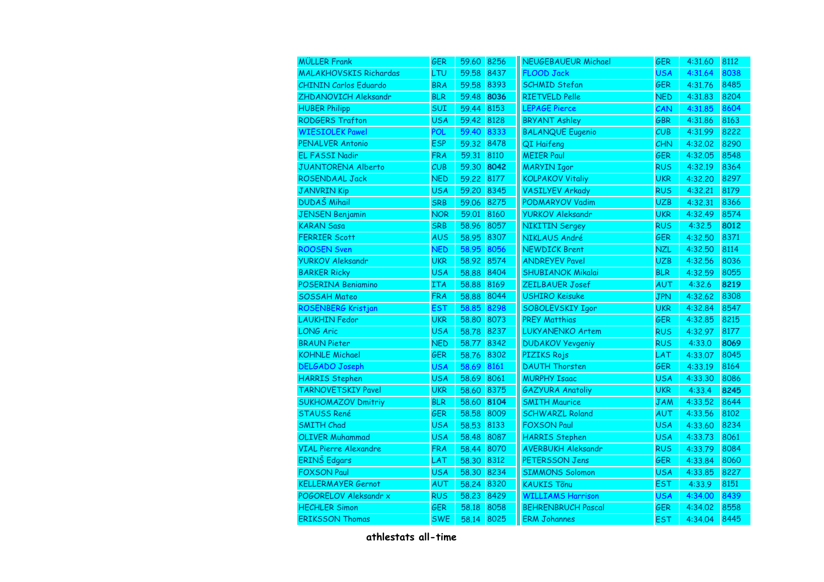| <b>MÜLLER Frank</b>           | <b>GER</b> | 59.60 8256 |      | <b>NEUGEBAUEUR Michael</b> | <b>GER</b> | 4:31.60 | 8112 |
|-------------------------------|------------|------------|------|----------------------------|------------|---------|------|
| <b>MALAKHOVSKIS Richardas</b> | LTU        | 59.58      | 8437 | <b>FLOOD Jack</b>          | <b>USA</b> | 4:31.64 | 8038 |
| <b>CHININ Carlos Eduardo</b>  | <b>BRA</b> | 59.58      | 8393 | <b>SCHMID Stefan</b>       | <b>GER</b> | 4:31.76 | 8485 |
| ZHDANOVICH Aleksandr          | <b>BLR</b> | 59.48      | 8036 | <b>RIETVELD Pelle</b>      | <b>NED</b> | 4:31.83 | 8204 |
| <b>HUBER Philipp</b>          | SUI        | 59.44      | 8153 | <b>LEPAGE Pierce</b>       | CAN        | 4:31.85 | 8604 |
| <b>RODGERS Trafton</b>        | <b>USA</b> | 59.42      | 8128 | <b>BRYANT Ashley</b>       | <b>GBR</b> | 4:31.86 | 8163 |
| <b>WIESIOLEK Pawel</b>        | POL        | 59.40      | 8333 | <b>BALANQUE Eugenio</b>    | CUB        | 4:31.99 | 8222 |
| <b>PENALVER Antonio</b>       | <b>ESP</b> | 59.32 8478 |      | QI Haifeng                 | CHN        | 4:32.02 | 8290 |
| <b>EL FASSI Nadir</b>         | <b>FRA</b> | 59.31 8110 |      | <b>MEIER Paul</b>          | <b>GER</b> | 4:32.05 | 8548 |
| <b>JUANTORENA Alberto</b>     | CUB        | 59.30      | 8042 | <b>MARYIN Igor</b>         | <b>RUS</b> | 4:32.19 | 8364 |
| ROSENDAAL Jack                | <b>NED</b> | 59.22      | 8177 | <b>KOLPAKOV Vitaliy</b>    | <b>UKR</b> | 4:32.20 | 8297 |
| <b>JANVRIN Kip</b>            | <b>USA</b> | 59.20      | 8345 | <b>VASILYEV Arkady</b>     | <b>RUS</b> | 4:32.21 | 8179 |
| <b>DUDAŠ Mihail</b>           | <b>SRB</b> | 59.06      | 8275 | PODMARYOV Vadim            | <b>UZB</b> | 4:32.31 | 8366 |
| <b>JENSEN Benjamin</b>        | <b>NOR</b> | 59.01      | 8160 | <b>YURKOV Aleksandr</b>    | <b>UKR</b> | 4:32.49 | 8574 |
| <b>KARAN Sasa</b>             | <b>SRB</b> | 58.96      | 8057 | <b>NIKITIN Sergey</b>      | <b>RUS</b> | 4:32.5  | 8012 |
| <b>FERRIER Scott</b>          | <b>AUS</b> | 58.95      | 8307 | NIKLAUS André              | <b>GER</b> | 4:32.50 | 8371 |
| <b>ROOSEN Sven</b>            | <b>NED</b> | 58.95      | 8056 | <b>NEWDICK Brent</b>       | <b>NZL</b> | 4:32.50 | 8114 |
| <b>YURKOV Aleksandr</b>       | <b>UKR</b> | 58.92      | 8574 | <b>ANDREYEV Pavel</b>      | <b>UZB</b> | 4:32.56 | 8036 |
| <b>BARKER Ricky</b>           | <b>USA</b> | 58,88      | 8404 | <b>SHUBIANOK Mikalai</b>   | <b>BLR</b> | 4:32.59 | 8055 |
| POSERINA Beniamino            | ITA        | 58,88      | 8169 | ZEILBAUER Josef            | AUT        | 4:32.6  | 8219 |
| <b>SOSSAH Mateo</b>           | <b>FRA</b> | 58.88      | 8044 | <b>USHIRO Keisuke</b>      | <b>JPN</b> | 4:32.62 | 8308 |
| ROSENBERG Kristjan            | <b>EST</b> | 58.85      | 8298 | SOBOLEVSKIY Igor           | <b>UKR</b> | 4:32.84 | 8547 |
| <b>LAUKHIN Fedor</b>          | <b>UKR</b> | 58,80      | 8073 | <b>PREY Matthias</b>       | <b>GER</b> | 4:32.85 | 8215 |
| <b>LONG Aric</b>              | <b>USA</b> | 58.78      | 8237 | <b>LUKYANENKO Artem</b>    | <b>RUS</b> | 4:32.97 | 8177 |
| <b>BRAUN Pieter</b>           | <b>NED</b> | 58.77      | 8342 | <b>DUDAKOV Yevgeniy</b>    | <b>RUS</b> | 4:33.0  | 8069 |
| <b>KOHNLE Michael</b>         | GER        | 58.76      | 8302 | <b>PIZIKS Rojs</b>         | LAT        | 4:33.07 | 8045 |
| <b>DELGADO Joseph</b>         | <b>USA</b> | 58.69      | 8161 | <b>DAUTH Thorsten</b>      | GER        | 4:33.19 | 8164 |
| <b>HARRIS Stephen</b>         | <b>USA</b> | 58.69      | 8061 | <b>MURPHY Isaac</b>        | <b>USA</b> | 4:33.30 | 8086 |
| <b>TARNOVETSKIY Pavel</b>     | <b>UKR</b> | 58.60      | 8375 | <b>GAZYURA Anatoliy</b>    | <b>UKR</b> | 4:33.4  | 8245 |
| <b>SUKHOMAZOV Dmitriy</b>     | <b>BLR</b> | 58.60      | 8104 | <b>SMITH Maurice</b>       | JAM        | 4:33.52 | 8644 |
| <b>STAUSS René</b>            | <b>GER</b> | 58.58      | 8009 | <b>SCHWARZL Roland</b>     | <b>AUT</b> | 4:33.56 | 8102 |
| <b>SMITH Chad</b>             | <b>USA</b> | 58.53 8133 |      | <b>FOXSON Paul</b>         | <b>USA</b> | 4:33.60 | 8234 |
| <b>OLIVER Muhammad</b>        | <b>USA</b> | 58.48      | 8087 | <b>HARRIS Stephen</b>      | <b>USA</b> | 4:33.73 | 8061 |
| <b>VIAL Pierre Alexandre</b>  | <b>FRA</b> | 58.44      | 8070 | <b>AVERBUKH Aleksandr</b>  | <b>RUS</b> | 4:33.79 | 8084 |
| ERINŠ Edgars                  | LAT        | 58,30      | 8312 | PETERSSON Jens             | GER        | 4:33.84 | 8060 |
| <b>FOXSON Paul</b>            | <b>USA</b> | 58,30      | 8234 | <b>SIMMONS Solomon</b>     | <b>USA</b> | 4:33.85 | 8227 |
| <b>KELLERMAYER Gernot</b>     | AUT        | 58,24      | 8320 | <b>KAUKIS Tõnu</b>         | <b>EST</b> | 4:33.9  | 8151 |
| POGORELOV Aleksandr x         | <b>RUS</b> | 58.23      | 8429 | <b>WILLIAMS Harrison</b>   | <b>USA</b> | 4:34.00 | 8439 |
| <b>HECHLER Simon</b>          | <b>GER</b> | 58,18      | 8058 | <b>BEHRENBRUCH Pascal</b>  | <b>GER</b> | 4:34.02 | 8558 |
| <b>ERIKSSON Thomas</b>        | <b>SWE</b> | 58.14      | 8025 | <b>ERM Johannes</b>        | <b>EST</b> | 4:34.04 | 8445 |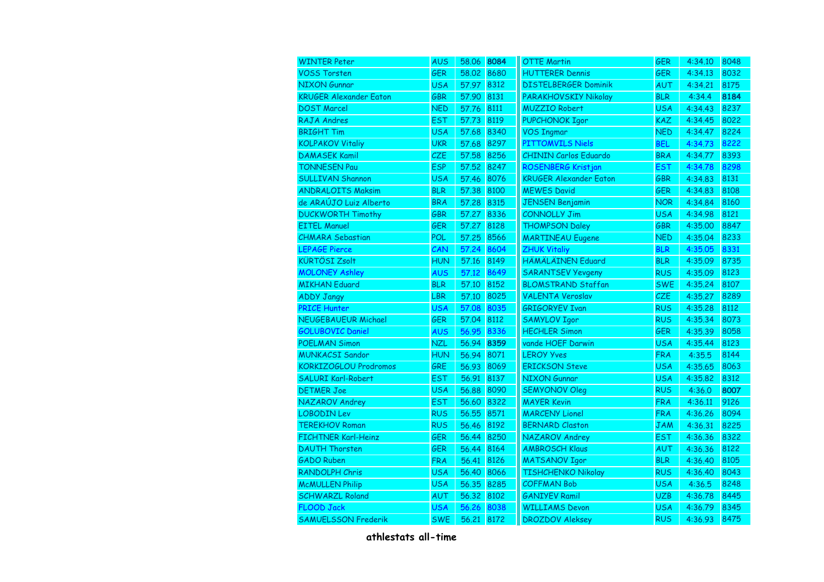| <b>WINTER Peter</b>           | <b>AUS</b> | 58.06 | 8084 | <b>OTTE Martin</b>            | <b>GER</b> | 4:34.10 | 8048 |
|-------------------------------|------------|-------|------|-------------------------------|------------|---------|------|
| <b>VOSS Torsten</b>           | GER        | 58,02 | 8680 | <b>HUTTERER Dennis</b>        | <b>GER</b> | 4:34.13 | 8032 |
| <b>NIXON Gunnar</b>           | <b>USA</b> | 57.97 | 8312 | <b>DISTELBERGER Dominik</b>   | AUT        | 4:34.21 | 8175 |
| <b>KRUGER Alexander Eaton</b> | GBR        | 57.90 | 8131 | PARAKHOVSKIY Nikolay          | <b>BLR</b> | 4:34.4  | 8184 |
| <b>DOST Marcel</b>            | <b>NED</b> | 57.76 | 8111 | <b>MUZZIO Robert</b>          | <b>USA</b> | 4:34.43 | 8237 |
| RAJA Andres                   | <b>EST</b> | 57.73 | 8119 | <b>PUPCHONOK Igor</b>         | <b>KAZ</b> | 4:34.45 | 8022 |
| <b>BRIGHT Tim</b>             | <b>USA</b> | 57.68 | 8340 | <b>VOS Ingmar</b>             | <b>NED</b> | 4:34.47 | 8224 |
| <b>KOLPAKOV Vitaliy</b>       | <b>UKR</b> | 57.68 | 8297 | <b>PITTOMVILS Niels</b>       | <b>BEL</b> | 4:34.73 | 8222 |
| <b>DAMASEK Kamil</b>          | CZE        | 57.58 | 8256 | <b>CHININ Carlos Eduardo</b>  | <b>BRA</b> | 4:34.77 | 8393 |
| <b>TONNESEN Pau</b>           | <b>ESP</b> | 57.52 | 8247 | ROSENBERG Kristjan            | <b>EST</b> | 4:34.78 | 8298 |
| <b>SULLIVAN Shannon</b>       | <b>USA</b> | 57.46 | 8076 | <b>KRUGER Alexander Eaton</b> | <b>GBR</b> | 4:34.83 | 8131 |
| <b>ANDRALOITS Maksim</b>      | <b>BLR</b> | 57.38 | 8100 | <b>MEWES David</b>            | GER        | 4:34.83 | 8108 |
| de ARAÚJO Luiz Alberto        | <b>BRA</b> | 57.28 | 8315 | <b>JENSEN Benjamin</b>        | <b>NOR</b> | 4:34.84 | 8160 |
| <b>DUCKWORTH Timothy</b>      | GBR        | 57.27 | 8336 | <b>CONNOLLY Jim</b>           | <b>USA</b> | 4:34.98 | 8121 |
| <b>EITEL Manuel</b>           | <b>GER</b> | 57.27 | 8128 | <b>THOMPSON Daley</b>         | GBR        | 4:35.00 | 8847 |
| <b>CHMARA Sebastian</b>       | <b>POL</b> | 57.25 | 8566 | <b>MARTINEAU Eugene</b>       | <b>NED</b> | 4:35.04 | 8233 |
| <b>LEPAGE Pierce</b>          | CAN        | 57.24 | 8604 | <b>ZHUK Vitaliy</b>           | <b>BLR</b> | 4:35.05 | 8331 |
| <b>KÜRTÖSI Zsolt</b>          | <b>HUN</b> | 57.16 | 8149 | HÄMÄLÄINEN Eduard             | <b>BLR</b> | 4:35.09 | 8735 |
| <b>MOLONEY Ashley</b>         | AUS        | 57.12 | 8649 | <b>SARANTSEV Yevgeny</b>      | <b>RUS</b> | 4:35.09 | 8123 |
| <b>MIKHAN Eduard</b>          | <b>BLR</b> | 57.10 | 8152 | <b>BLOMSTRAND Staffan</b>     | <b>SWE</b> | 4:35.24 | 8107 |
| <b>ADDY Jangy</b>             | <b>LBR</b> | 57.10 | 8025 | <b>VALENTA Veroslav</b>       | CZE        | 4:35.27 | 8289 |
| <b>PRICE Hunter</b>           | <b>USA</b> | 57.08 | 8035 | <b>GRIGORYEV Ivan</b>         | <b>RUS</b> | 4:35.28 | 8112 |
| NEUGEBAUEUR Michael           | <b>GER</b> | 57.04 | 8112 | <b>SAMYLOV Igor</b>           | <b>RUS</b> | 4:35.34 | 8073 |
| <b>GOLUBOVIC Daniel</b>       | <b>AUS</b> | 56.95 | 8336 | <b>HECHLER Simon</b>          | <b>GER</b> | 4:35.39 | 8058 |
| <b>POELMAN Simon</b>          | <b>NZL</b> | 56.94 | 8359 | vande HOEF Darwin             | <b>USA</b> | 4:35.44 | 8123 |
| <b>MUNKACSI Sandor</b>        | <b>HUN</b> | 56.94 | 8071 | <b>LEROY Yves</b>             | <b>FRA</b> | 4:35.5  | 8144 |
| KORKIZOGLOU Prodromos         | GRE        | 56.93 | 8069 | <b>ERICKSON Steve</b>         | <b>USA</b> | 4:35.65 | 8063 |
| SALURI Karl-Robert            | <b>EST</b> | 56.91 | 8137 | NIXON Gunnar                  | <b>USA</b> | 4:35.82 | 8312 |
| <b>DETMER Joe</b>             | <b>USA</b> | 56.88 | 8090 | <b>SEMYONOV Oleg</b>          | <b>RUS</b> | 4:36.0  | 8007 |
| NAZAROV Andrey                | <b>EST</b> | 56.60 | 8322 | <b>MAYER Kevin</b>            | <b>FRA</b> | 4:36.11 | 9126 |
| <b>LOBODIN Lev</b>            | <b>RUS</b> | 56.55 | 8571 | <b>MARCENY Lionel</b>         | <b>FRA</b> | 4:36.26 | 8094 |
| <b>TEREKHOV Roman</b>         | <b>RUS</b> | 56.46 | 8192 | <b>BERNARD Claston</b>        | <b>JAM</b> | 4:36.31 | 8225 |
| <b>FICHTNER Karl-Heinz</b>    | GER        | 56.44 | 8250 | NAZAROV Andrey                | <b>EST</b> | 4:36.36 | 8322 |
| <b>DAUTH Thorsten</b>         | GER        | 56.44 | 8164 | <b>AMBROSCH Klaus</b>         | AUT        | 4:36.36 | 8122 |
| <b>GADO Ruben</b>             | <b>FRA</b> | 56.41 | 8126 | <b>MATSANOV Igor</b>          | <b>BLR</b> | 4:36.40 | 8105 |
| RANDOLPH Chris                | <b>USA</b> | 56,40 | 8066 | <b>TISHCHENKO Nikolay</b>     | <b>RUS</b> | 4:36.40 | 8043 |
| <b>McMULLEN Philip</b>        | <b>USA</b> | 56.35 | 8285 | <b>COFFMAN Bob</b>            | <b>USA</b> | 4:36.5  | 8248 |
| <b>SCHWARZL Roland</b>        | AUT        | 56,32 | 8102 | <b>GANIYEV Ramil</b>          | <b>UZB</b> | 4:36.78 | 8445 |
| <b>FLOOD Jack</b>             | <b>USA</b> | 56.26 | 8038 | <b>WILLIAMS Devon</b>         | <b>USA</b> | 4:36.79 | 8345 |
| <b>SAMUELSSON Frederik</b>    | <b>SWE</b> | 56.21 | 8172 | <b>DROZDOV Aleksey</b>        | <b>RUS</b> | 4:36.93 | 8475 |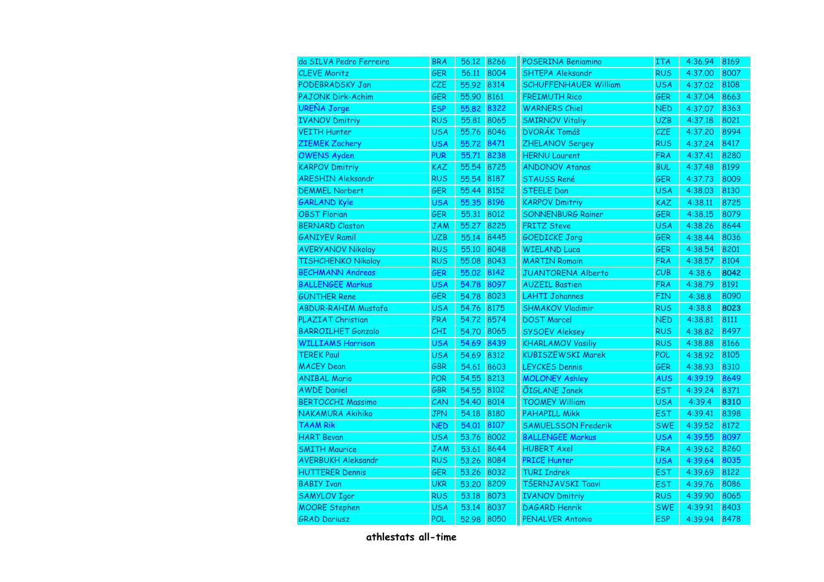| da SILVA Pedro Ferreira    | <b>BRA</b> | 56.12 8266 |      | <b>POSERINA Beniamino</b>    | ITA        | 4:36.94 | 8169 |
|----------------------------|------------|------------|------|------------------------------|------------|---------|------|
| <b>CLEVE Moritz</b>        | <b>GER</b> | 56.11      | 8004 | <b>SHTEPA Aleksandr</b>      | <b>RUS</b> | 4:37.00 | 8007 |
| PODEBRADSKY Jan            | <b>CZE</b> | 55.92      | 8314 | <b>SCHUFFENHAUER William</b> | <b>USA</b> | 4:37.02 | 8108 |
| <b>PAJONK Dirk-Achim</b>   | <b>GER</b> | 55.90      | 8161 | <b>FREIMUTH Rico</b>         | <b>GER</b> | 4:37.04 | 8663 |
| <b>UREÑA Jorge</b>         | <b>ESP</b> | 55.82      | 8322 | <b>WARNERS Chiel</b>         | <b>NED</b> | 4:37.07 | 8363 |
| <b>IVANOV Dmitriy</b>      | <b>RUS</b> | 55,81      | 8065 | <b>SMIRNOV Vitaliy</b>       | <b>UZB</b> | 4:37.18 | 8021 |
| <b>VEITH Hunter</b>        | <b>USA</b> | 55.76      | 8046 | <b>DVORÁK Tomáš</b>          | CZE        | 4:37.20 | 8994 |
| <b>ZIEMEK Zachery</b>      | <b>USA</b> | 55.72      | 8471 | ZHELANOV Sergey              | <b>RUS</b> | 4:37.24 | 8417 |
| <b>OWENS Ayden</b>         | <b>PUR</b> | 55.71      | 8238 | <b>HERNU Laurent</b>         | <b>FRA</b> | 4:37.41 | 8280 |
| <b>KARPOV Dmitriy</b>      | KAZ        | 55.54      | 8725 | <b>ANDONOV Atanas</b>        | <b>BUL</b> | 4:37.48 | 8199 |
| <b>ARESHIN Aleksandr</b>   | <b>RUS</b> | 55.54      | 8187 | <b>STAUSS René</b>           | <b>GER</b> | 4:37.73 | 8009 |
| <b>DEMMEL Norbert</b>      | GER        | 55.44      | 8152 | <b>STEELE Dan</b>            | <b>USA</b> | 4:38.03 | 8130 |
| <b>GARLAND Kyle</b>        | <b>USA</b> | 55,35      | 8196 | <b>KARPOV Dmitriy</b>        | <b>KAZ</b> | 4:38.11 | 8725 |
| <b>OBST Florian</b>        | GER        | 55.31 8012 |      | <b>SONNENBURG Rainer</b>     | <b>GER</b> | 4:38.15 | 8079 |
| <b>BERNARD Claston</b>     | <b>JAM</b> | 55.27      | 8225 | <b>FRITZ Steve</b>           | <b>USA</b> | 4:38.26 | 8644 |
| <b>GANIYEV Ramil</b>       | <b>UZB</b> | 55.14      | 8445 | <b>GOEDICKE Jorg</b>         | <b>GER</b> | 4:38.44 | 8036 |
| <b>AVERYANOV Nikolay</b>   | <b>RUS</b> | 55.10      | 8048 | <b>WIELAND Luca</b>          | <b>GER</b> | 4:38.54 | 8201 |
| <b>TISHCHENKO Nikolay</b>  | <b>RUS</b> | 55.08      | 8043 | <b>MARTIN Romain</b>         | <b>FRA</b> | 4:38.57 | 8104 |
| <b>BECHMANN Andreas</b>    | GER        | 55.02      | 8142 | JUANTORENA Alberto           | CUB        | 4:38.6  | 8042 |
| <b>BALLENGEE Markus</b>    | <b>USA</b> | 54.78      | 8097 | <b>AUZEIL Bastien</b>        | <b>FRA</b> | 4:38.79 | 8191 |
| <b>GÜNTHER Rene</b>        | GER        | 54.78      | 8023 | <b>LAHTI Johannes</b>        | <b>FIN</b> | 4:38.8  | 8090 |
| <b>ABDUR-RAHIM Mustafa</b> | <b>USA</b> | 54.76      | 8175 | <b>SHMAKOV Vladimir</b>      | <b>RUS</b> | 4:38.8  | 8023 |
| <b>PLAZIAT Christian</b>   | <b>FRA</b> | 54.72      | 8574 | <b>DOST Marcel</b>           | <b>NED</b> | 4:38.81 | 8111 |
| <b>BARROILHET Gonzalo</b>  | CHI        | 54.70      | 8065 | <b>SYSOEV Aleksey</b>        | <b>RUS</b> | 4:38.82 | 8497 |
| <b>WILLIAMS Harrison</b>   | <b>USA</b> | 54.69      | 8439 | <b>KHARLAMOV Vasiliy</b>     | <b>RUS</b> | 4:38.88 | 8166 |
| <b>TEREK Paul</b>          | <b>USA</b> | 54.69      | 8312 | <b>KUBISZEWSKI Marek</b>     | POL        | 4:38.92 | 8105 |
| <b>MACEY Dean</b>          | GBR        | 54.61      | 8603 | <b>LEYCKES Dennis</b>        | <b>GER</b> | 4:38.93 | 8310 |
| <b>ANIBAL Mario</b>        | POR        | 54.55      | 8213 | <b>MOLONEY Ashley</b>        | <b>AUS</b> | 4:39.19 | 8649 |
| <b>AWDE Daniel</b>         | GBR        | 54.55      | 8102 | ÕIGLANE Janek                | <b>EST</b> | 4:39.24 | 8371 |
| <b>BERTOCCHI Massimo</b>   | CAN        | 54.40      | 8014 | <b>TOOMEY William</b>        | <b>USA</b> | 4:39.4  | 8310 |
| NAKAMURA Akihiko           | <b>JPN</b> | 54.18      | 8180 | <b>PAHAPILL Mikk</b>         | <b>EST</b> | 4:39.41 | 8398 |
| <b>TAAM Rik</b>            | <b>NED</b> | 54.01      | 8107 | <b>SAMUELSSON Frederik</b>   | <b>SWE</b> | 4:39.52 | 8172 |
| <b>HART Bevan</b>          | <b>USA</b> | 53.76      | 8002 | <b>BALLENGEE Markus</b>      | <b>USA</b> | 4:39.55 | 8097 |
| <b>SMITH Maurice</b>       | <b>JAM</b> | 53.61      | 8644 | <b>HUBERT Axel</b>           | <b>FRA</b> | 4:39.62 | 8260 |
| <b>AVERBUKH Aleksandr</b>  | <b>RUS</b> | 53.26      | 8084 | <b>PRICE Hunter</b>          | <b>USA</b> | 4:39.64 | 8035 |
| <b>HUTTERER Dennis</b>     | GER        | 53.26      | 8032 | <b>TURI Indrek</b>           | <b>EST</b> | 4:39.69 | 8122 |
| <b>BABIY Ivan</b>          | <b>UKR</b> | 53,20      | 8209 | TŠERNJAVSKI Taavi            | <b>EST</b> | 4:39.76 | 8086 |
| <b>SAMYLOV Igor</b>        | <b>RUS</b> | 53.18      | 8073 | <b>IVANOV Dmitriy</b>        | <b>RUS</b> | 4:39.90 | 8065 |
| <b>MOORE Stephen</b>       | USA        | 53.14      | 8037 | <b>DAGARD Henrik</b>         | <b>SWE</b> | 4:39.91 | 8403 |
| <b>GRAD Dariusz</b>        | POL        | 52.98      | 8050 | PENALVER Antonio             | <b>ESP</b> | 4:39.94 | 8478 |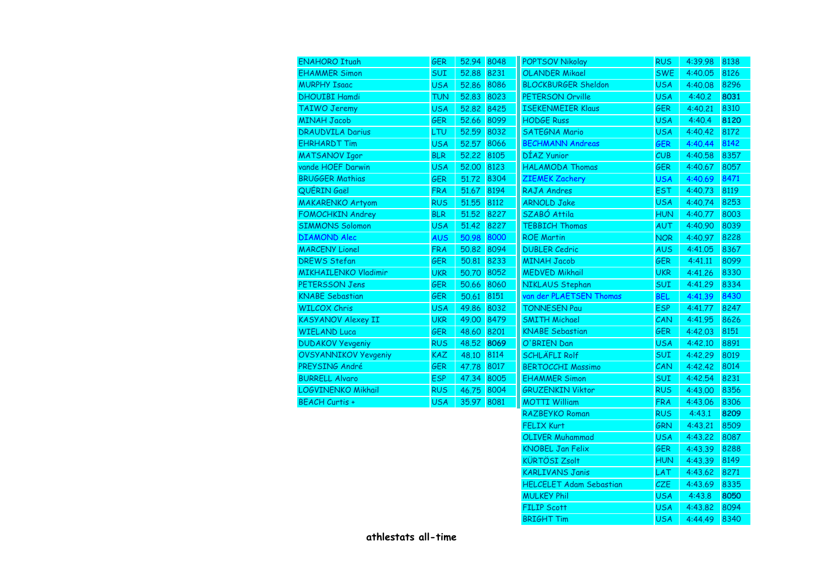| <b>ENAHORO Ituah</b>        | <b>GER</b> | 52.94 8048 |      | <b>POPTSOV Nikolay</b>         | <b>RUS</b> | 4:39.98 | 8138 |
|-----------------------------|------------|------------|------|--------------------------------|------------|---------|------|
| <b>EHAMMER Simon</b>        | SUI        | 52.88      | 8231 | <b>OLANDER Mikael</b>          | <b>SWE</b> | 4:40.05 | 8126 |
| <b>MURPHY Isaac</b>         | <b>USA</b> | 52.86      | 8086 | <b>BLOCKBURGER Sheldon</b>     | <b>USA</b> | 4:40.08 | 8296 |
| <b>DHOUIBI Hamdi</b>        | TUN        | 52.83      | 8023 | PETERSON Orville               | <b>USA</b> | 4:40.2  | 8031 |
| TAIWO Jeremy                | <b>USA</b> | 52.82      | 8425 | <b>ISEKENMEIER Klaus</b>       | <b>GER</b> | 4:40.21 | 8310 |
| <b>MINAH Jacob</b>          | <b>GER</b> | 52.66      | 8099 | <b>HODGE Russ</b>              | <b>USA</b> | 4:40.4  | 8120 |
| <b>DRAUDVILA Darius</b>     | LTU        | 52.59      | 8032 | <b>SATEGNA Mario</b>           | <b>USA</b> | 4:40.42 | 8172 |
| <b>EHRHARDT Tim</b>         | <b>USA</b> | 52.57      | 8066 | <b>BECHMANN Andreas</b>        | <b>GER</b> | 4:40.44 | 8142 |
| <b>MATSANOV Igor</b>        | <b>BLR</b> | 52.22      | 8105 | DÍAZ Yunior                    | CUB        | 4:40.58 | 8357 |
| vande HOEF Darwin           | <b>USA</b> | 52,00      | 8123 | <b>HALAMODA Thomas</b>         | GER        | 4:40.67 | 8057 |
| <b>BRUGGER Mathias</b>      | GER        | 51.72      | 8304 | <b>ZIEMEK Zachery</b>          | <b>USA</b> | 4:40.69 | 8471 |
| QUÉRIN Gaël                 | <b>FRA</b> | 51.67      | 8194 | RAJA Andres                    | <b>EST</b> | 4:40.73 | 8119 |
| <b>MAKARENKO Artyom</b>     | <b>RUS</b> | 51.55      | 8112 | <b>ARNOLD Jake</b>             | <b>USA</b> | 4:40.74 | 8253 |
| FOMOCHKIN Andrey            | <b>BLR</b> | 51,52      | 8227 | SZABÓ Attila                   | <b>HUN</b> | 4:40.77 | 8003 |
| <b>SIMMONS Solomon</b>      | <b>USA</b> | 51.42      | 8227 | <b>TEBBICH Thomas</b>          | <b>AUT</b> | 4:40.90 | 8039 |
| <b>DIAMOND Alec</b>         | <b>AUS</b> | 50.98      | 8000 | <b>ROE Martin</b>              | <b>NOR</b> | 4:40.97 | 8228 |
| <b>MARCENY Lionel</b>       | <b>FRA</b> | 50,82      | 8094 | <b>DUBLER Cedric</b>           | <b>AUS</b> | 4:41.05 | 8367 |
| <b>DREWS Stefan</b>         | GER        | 50,81      | 8233 | <b>MINAH Jacob</b>             | <b>GER</b> | 4:41.11 | 8099 |
| MIKHAILENKO Vladimir        | <b>UKR</b> | 50.70      | 8052 | <b>MEDVED Mikhail</b>          | <b>UKR</b> | 4:41.26 | 8330 |
| <b>PETERSSON Jens</b>       | <b>GER</b> | 50.66      | 8060 | NIKLAUS Stephan                | <b>SUI</b> | 4:41.29 | 8334 |
| <b>KNABE Sebastian</b>      | <b>GER</b> | 50.61      | 8151 | van der PLAETSEN Thomas        | <b>BEL</b> | 4:41.39 | 8430 |
| <b>WILCOX Chris</b>         | <b>USA</b> | 49.86      | 8032 | <b>TONNESEN Pau</b>            | <b>ESP</b> | 4:41.77 | 8247 |
| <b>KASYANOV Alexey II</b>   | <b>UKR</b> | 49.00      | 8479 | <b>SMITH Michael</b>           | CAN        | 4:41.95 | 8626 |
| <b>WIELAND Luca</b>         | <b>GER</b> | 48.60      | 8201 | <b>KNABE</b> Sebastian         | <b>GER</b> | 4:42.03 | 8151 |
| <b>DUDAKOV Yevgeniy</b>     | <b>RUS</b> | 48.52      | 8069 | O'BRIEN Dan                    | <b>USA</b> | 4:42.10 | 8891 |
| <b>OVSYANNIKOV Yevgeniy</b> | KAZ        | 48,10      | 8114 | <b>SCHLÄFLI Rolf</b>           | <b>SUI</b> | 4:42.29 | 8019 |
| PREYSING André              | GER        | 47.78      | 8017 | <b>BERTOCCHI Massimo</b>       | CAN        | 4:42.42 | 8014 |
| <b>BURRELL Alvaro</b>       | <b>ESP</b> | 47.34      | 8005 | <b>EHAMMER Simon</b>           | <b>SUI</b> | 4:42.54 | 8231 |
| LOGVINENKO Mikhail          | <b>RUS</b> | 46.75      | 8004 | <b>GRUZENKIN Viktor</b>        | <b>RUS</b> | 4:43.00 | 8356 |
| BEACH Curtis +              | <b>USA</b> | 35.97      | 8081 | <b>MOTTI William</b>           | <b>FRA</b> | 4:43.06 | 8306 |
|                             |            |            |      | RAZBEYKO Roman                 | <b>RUS</b> | 4:43.1  | 8209 |
|                             |            |            |      | <b>FELIX Kurt</b>              | <b>GRN</b> | 4:43.21 | 8509 |
|                             |            |            |      | <b>OLIVER Muhammad</b>         | <b>USA</b> | 4:43.22 | 8087 |
|                             |            |            |      | <b>KNOBEL Jan Felix</b>        | <b>GER</b> | 4:43.39 | 8288 |
|                             |            |            |      | <b>KÜRTÖSI Zsolt</b>           | <b>HUN</b> | 4:43.39 | 8149 |
|                             |            |            |      | <b>KARLIVANS Janis</b>         | LAT        | 4:43.62 | 8271 |
|                             |            |            |      | <b>HELCELET Adam Sebastian</b> | CZE        | 4:43.69 | 8335 |
|                             |            |            |      | <b>MULKEY Phil</b>             | <b>USA</b> | 4:43.8  | 8050 |
|                             |            |            |      | <b>FILIP Scott</b>             | <b>USA</b> | 4:43.82 | 8094 |
|                             |            |            |      | <b>BRIGHT Tim</b>              | <b>USA</b> | 4:44.49 | 8340 |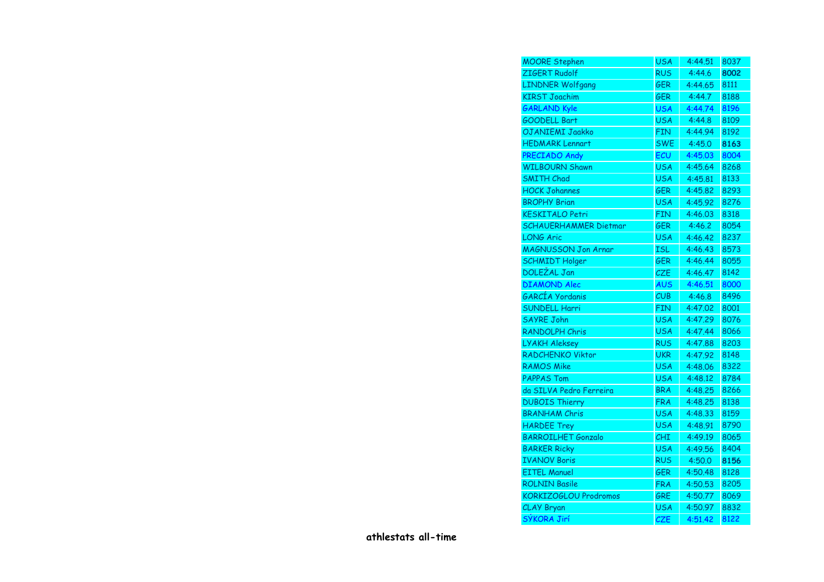| <b>MOORE Stephen</b>         | <b>USA</b> | 4:44.51 | 8037 |
|------------------------------|------------|---------|------|
| ZIGERT Rudolf                | <b>RUS</b> | 4:44.6  | 8002 |
| <b>LINDNER Wolfgang</b>      | <b>GER</b> | 4:44.65 | 8111 |
| <b>KIRST Joachim</b>         | <b>GER</b> | 4:44.7  | 8188 |
| <b>GARLAND Kyle</b>          | <b>USA</b> | 4:44.74 | 8196 |
| <b>GOODELL Bart</b>          | <b>USA</b> | 4:44.8  | 8109 |
| OJANIEMI Jaakko              | <b>FIN</b> | 4:44.94 | 8192 |
| <b>HEDMARK Lennart</b>       | <b>SWE</b> | 4:45.0  | 8163 |
| PRECIADO Andy                | ECU        | 4:45.03 | 8004 |
| <b>WILBOURN Shawn</b>        | <b>USA</b> | 4:45.64 | 8268 |
| <b>SMITH Chad</b>            | <b>USA</b> | 4:45.81 | 8133 |
| <b>HOCK Johannes</b>         | <b>GER</b> | 4:45.82 | 8293 |
| <b>BROPHY Brian</b>          | <b>USA</b> | 4:45.92 | 8276 |
| <b>KESKITALO Petri</b>       | <b>FIN</b> | 4:46.03 | 8318 |
| <b>SCHAUERHAMMER Dietmar</b> | <b>GER</b> | 4:46.2  | 8054 |
| <b>LONG Aric</b>             | <b>USA</b> | 4:46.42 | 8237 |
| <b>MAGNUSSON Jon Arnar</b>   | <b>ISL</b> | 4:46.43 | 8573 |
| <b>SCHMIDT Holger</b>        | GER        | 4:46.44 | 8055 |
| DOLEŽAL Jan                  | CZE        | 4:46.47 | 8142 |
| <b>DIAMOND Alec</b>          | <b>AUS</b> | 4:46.51 | 8000 |
| GARCÍA Yordanis              | CUB        | 4:46.8  | 8496 |
| <b>SUNDELL Harri</b>         | <b>FIN</b> | 4:47.02 | 8001 |
| <b>SAYRE John</b>            | <b>USA</b> | 4:47.29 | 8076 |
| RANDOLPH Chris               | <b>USA</b> | 4:47.44 | 8066 |
| LYAKH Aleksey                | <b>RUS</b> | 4:47.88 | 8203 |
| RADCHENKO Viktor             | <b>UKR</b> | 4:47.92 | 8148 |
| <b>RAMOS Mike</b>            | <b>USA</b> | 4:48.06 | 8322 |
| <b>PAPPAS Tom</b>            | <b>USA</b> | 4:48.12 | 8784 |
| da SILVA Pedro Ferreira      | <b>BRA</b> | 4:48.25 | 8266 |
| <b>DUBOIS Thierry</b>        | <b>FRA</b> | 4:48.25 | 8138 |
| <b>BRANHAM Chris</b>         | <b>USA</b> | 4:48.33 | 8159 |
| <b>HARDEE Trey</b>           | <b>USA</b> | 4:48.91 | 8790 |
| <b>BARROILHET Gonzalo</b>    | CHI        | 4:49.19 | 8065 |
| <b>BARKER Ricky</b>          | <b>USA</b> | 4:49.56 | 8404 |
| <b>IVANOV Boris</b>          | <b>RUS</b> | 4:50.0  | 8156 |
| <b>EITEL Manuel</b>          | <b>GER</b> | 4:50.48 | 8128 |
| <b>ROLNIN Basile</b>         | <b>FRA</b> | 4:50.53 | 8205 |
| KORKIZOGLOU Prodromos        | GRE        | 4:50.77 | 8069 |
| CLAY Bryan                   | <b>USA</b> | 4:50.97 | 8832 |
| SÝKORA Jirí                  | <b>CZE</b> | 4:51.42 | 8122 |